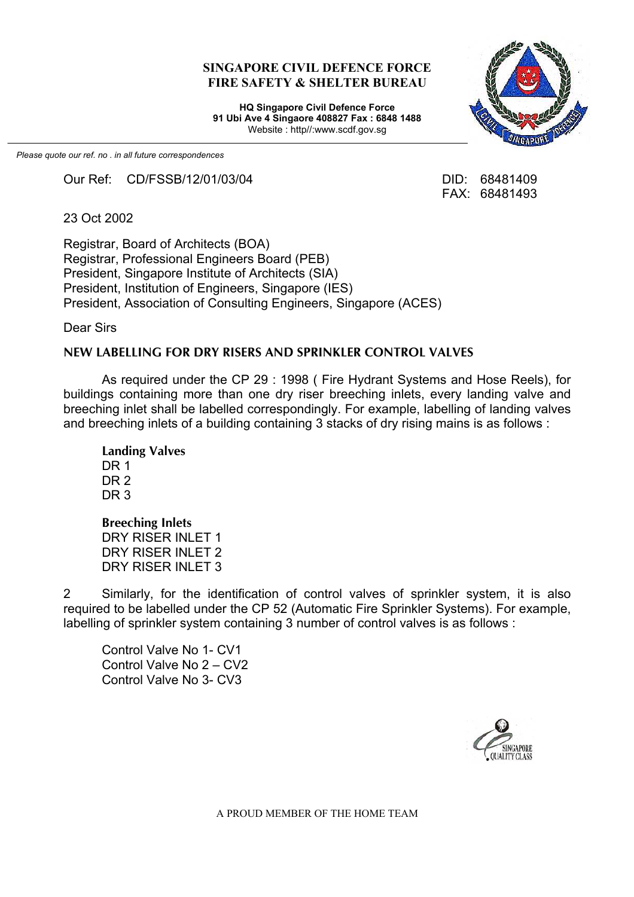#### **SINGAPORE CIVIL DEFENCE FORCE FIRE SAFETY & SHELTER BUREAU**

**HQ Singapore Civil Defence Force 91 Ubi Ave 4 Singaore 408827 Fax : 6848 1488** Website : http//:www.scdf.gov.sg

*Please quote our ref. no . in all future correspondences*

Our Ref: CD/FSSB/12/01/03/04 DID: 68481409

FAX: 68481493

23 Oct 2002

Registrar, Board of Architects (BOA) Registrar, Professional Engineers Board (PEB) President, Singapore Institute of Architects (SIA) President, Institution of Engineers, Singapore (IES) President, Association of Consulting Engineers, Singapore (ACES)

Dear Sirs

#### **NEW LABELLING FOR DRY RISERS AND SPRINKLER CONTROL VALVES**

As required under the CP 29 : 1998 ( Fire Hydrant Systems and Hose Reels), for buildings containing more than one dry riser breeching inlets, every landing valve and breeching inlet shall be labelled correspondingly. For example, labelling of landing valves and breeching inlets of a building containing 3 stacks of dry rising mains is as follows :

**Landing Valves** DR<sub>1</sub> DR<sub>2</sub> DR<sub>3</sub>

**Breeching Inlets** DRY RISER INLET 1 DRY RISER INLET 2 DRY RISER INLET 3

2 Similarly, for the identification of control valves of sprinkler system, it is also required to be labelled under the CP 52 (Automatic Fire Sprinkler Systems). For example, labelling of sprinkler system containing 3 number of control valves is as follows :

Control Valve No 1- CV1 Control Valve No 2 – CV2 Control Valve No 3- CV3



A PROUD MEMBER OF THE HOME TEAM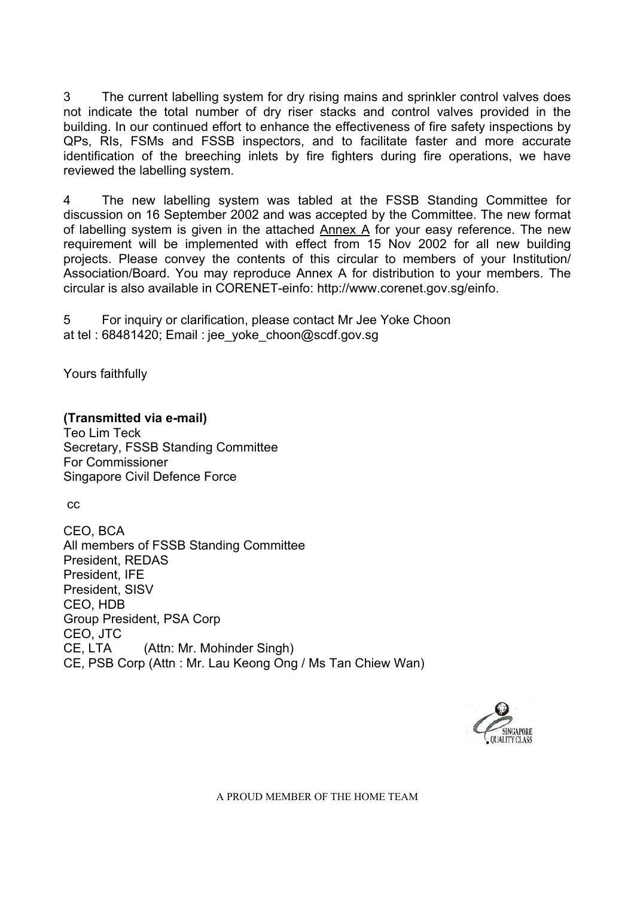3 The current labelling system for dry rising mains and sprinkler control valves does not indicate the total number of dry riser stacks and control valves provided in the building. In our continued effort to enhance the effectiveness of fire safety inspections by QPs, RIs, FSMs and FSSB inspectors, and to facilitate faster and more accurate identification of the breeching inlets by fire fighters during fire operations, we have reviewed the labelling system.

4 The new labelling system was tabled at the FSSB Standing Committee for discussion on 16 September 2002 and was accepted by the Committee. The new format of labelling system is given in the attached Annex A for your easy reference. The new requirement will be implemented with effect from 15 Nov 2002 for all new building projects. Please convey the contents of this circular to members of your Institution/ Association/Board. You may reproduce Annex A for distribution to your members. The circular is also available in CORENET-einfo: http://www.corenet.gov.sg/einfo.

5 For inquiry or clarification, please contact Mr Jee Yoke Choon at tel : 68481420; Email : jee\_yoke\_choon@scdf.gov.sg

Yours faithfully

## **(Transmitted via e-mail)**

Teo Lim Teck Secretary, FSSB Standing Committee For Commissioner Singapore Civil Defence Force

cc

CEO, BCA All members of FSSB Standing Committee President, REDAS President, IFE President, SISV CEO, HDB Group President, PSA Corp CEO, JTC CE, LTA (Attn: Mr. Mohinder Singh) CE, PSB Corp (Attn : Mr. Lau Keong Ong / Ms Tan Chiew Wan)



A PROUD MEMBER OF THE HOME TEAM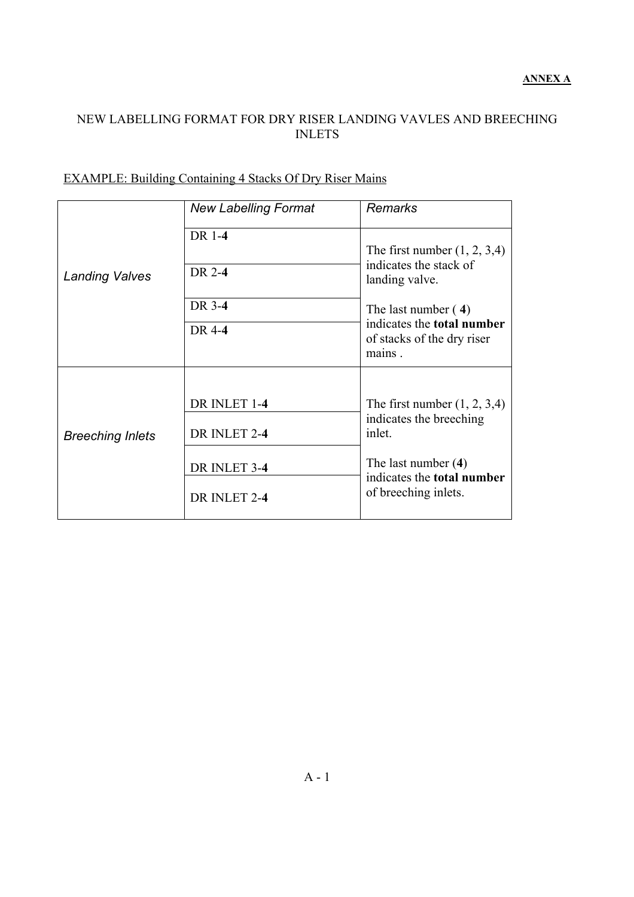### NEW LABELLING FORMAT FOR DRY RISER LANDING VAVLES AND BREECHING INLETS

|                         | <b>New Labelling Format</b> | <b>Remarks</b>                                                            |
|-------------------------|-----------------------------|---------------------------------------------------------------------------|
| <b>Landing Valves</b>   | DR 1-4                      | The first number $(1, 2, 3, 4)$<br>indicates the stack of                 |
|                         | DR 2-4                      | landing valve.                                                            |
|                         | DR 3-4                      | The last number $(4)$                                                     |
|                         | DR 4-4                      | indicates the <b>total number</b><br>of stacks of the dry riser<br>mains. |
|                         |                             |                                                                           |
| <b>Breeching Inlets</b> | DR INLET 1-4                | The first number $(1, 2, 3, 4)$                                           |
|                         | DR INLET 2-4                | indicates the breeching<br>inlet.                                         |
|                         | DR INLET 3-4                | The last number $(4)$<br>indicates the <b>total number</b>                |
|                         | DR INLET 2-4                | of breeching inlets.                                                      |

## EXAMPLE: Building Containing 4 Stacks Of Dry Riser Mains